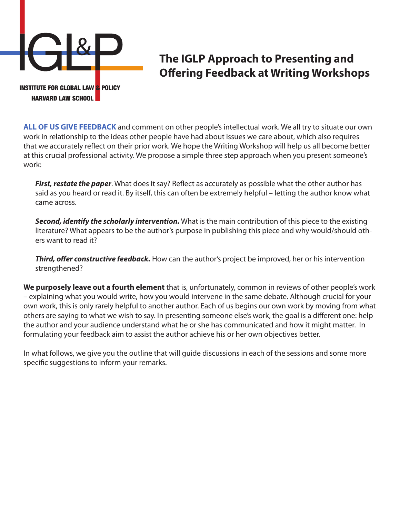

# **The IGLP Approach to Presenting and Offering Feedback at Writing Workshops**

**ALL OF US GIVE FEEDBACK** and comment on other people's intellectual work. We all try to situate our own work in relationship to the ideas other people have had about issues we care about, which also requires that we accurately reflect on their prior work. We hope the Writing Workshop will help us all become better at this crucial professional activity. We propose a simple three step approach when you present someone's work:

*First, restate the paper*. What does it say? Reflect as accurately as possible what the other author has said as you heard or read it. By itself, this can often be extremely helpful – letting the author know what came across.

*Second, identify the scholarly intervention.* What is the main contribution of this piece to the existing literature? What appears to be the author's purpose in publishing this piece and why would/should others want to read it?

*Third, offer constructive feedback.* How can the author's project be improved, her or his intervention strengthened?

**We purposely leave out a fourth element** that is, unfortunately, common in reviews of other people's work – explaining what you would write, how you would intervene in the same debate. Although crucial for your own work, this is only rarely helpful to another author. Each of us begins our own work by moving from what others are saying to what we wish to say. In presenting someone else's work, the goal is a different one: help the author and your audience understand what he or she has communicated and how it might matter. In formulating your feedback aim to assist the author achieve his or her own objectives better.

In what follows, we give you the outline that will guide discussions in each of the sessions and some more specific suggestions to inform your remarks.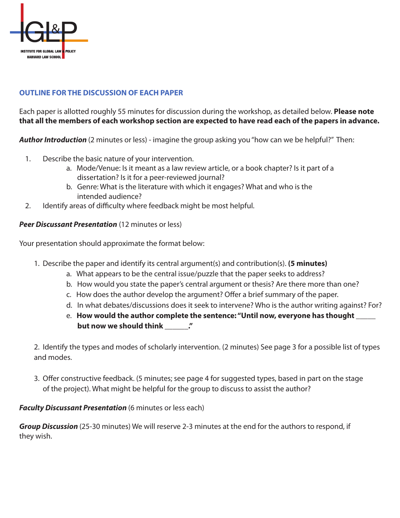

# **OUTLINE FOR THE DISCUSSION OF EACH PAPER**

Each paper is allotted roughly 55 minutes for discussion during the workshop, as detailed below. **Please note that all the members of each workshop section are expected to have read each of the papers in advance.**

*Author Introduction* (2 minutes or less) - imagine the group asking you "how can we be helpful?" Then:

- 1. Describe the basic nature of your intervention.
	- a. Mode/Venue: Is it meant as a law review article, or a book chapter? Is it part of a dissertation? Is it for a peer-reviewed journal?
	- b. Genre: What is the literature with which it engages? What and who is the intended audience?
- 2. Identify areas of difficulty where feedback might be most helpful.

## *Peer Discussant Presentation* (12 minutes or less)

Your presentation should approximate the format below:

- 1. Describe the paper and identify its central argument(s) and contribution(s). **(5 minutes)** 
	- a. What appears to be the central issue/puzzle that the paper seeks to address?
	- b. How would you state the paper's central argument or thesis? Are there more than one?
	- c. How does the author develop the argument? Offer a brief summary of the paper.
	- d. In what debates/discussions does it seek to intervene? Who is the author writing against? For?
	- e. **How would the author complete the sentence: "Until now, everyone has thought \_\_\_\_\_ but now we should think**  $\cdot$

2. Identify the types and modes of scholarly intervention. (2 minutes) See page 3 for a possible list of types and modes.

3. Offer constructive feedback. (5 minutes; see page 4 for suggested types, based in part on the stage of the project). What might be helpful for the group to discuss to assist the author?

#### *Faculty Discussant Presentation* (6 minutes or less each)

*Group Discussion* (25-30 minutes) We will reserve 2-3 minutes at the end for the authors to respond, if they wish.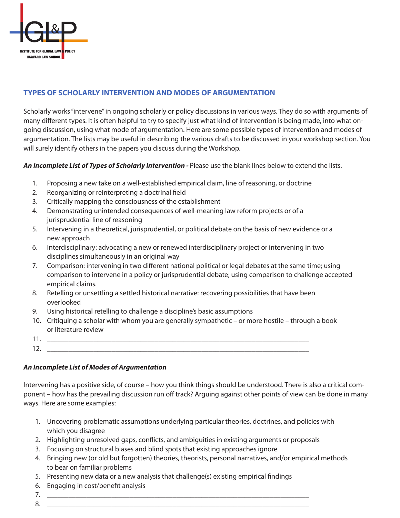

# **TYPES OF SCHOLARLY INTERVENTION AND MODES OF ARGUMENTATION**

Scholarly works "intervene" in ongoing scholarly or policy discussions in various ways. They do so with arguments of many different types. It is often helpful to try to specify just what kind of intervention is being made, into what ongoing discussion, using what mode of argumentation. Here are some possible types of intervention and modes of argumentation. The lists may be useful in describing the various drafts to be discussed in your workshop section. You will surely identify others in the papers you discuss during the Workshop.

An Incomplete List of Types of Scholarly Intervention - Please use the blank lines below to extend the lists.

- 1. Proposing a new take on a well-established empirical claim, line of reasoning, or doctrine
- 2. Reorganizing or reinterpreting a doctrinal field
- 3. Critically mapping the consciousness of the establishment
- 4. Demonstrating unintended consequences of well-meaning law reform projects or of a jurisprudential line of reasoning
- 5. Intervening in a theoretical, jurisprudential, or political debate on the basis of new evidence or a new approach
- 6. Interdisciplinary: advocating a new or renewed interdisciplinary project or intervening in two disciplines simultaneously in an original way
- 7. Comparison: intervening in two different national political or legal debates at the same time; using comparison to intervene in a policy or jurisprudential debate; using comparison to challenge accepted empirical claims.
- 8. Retelling or unsettling a settled historical narrative: recovering possibilities that have been overlooked
- 9. Using historical retelling to challenge a discipline's basic assumptions
- 10. Critiquing a scholar with whom you are generally sympathetic or more hostile through a book or literature review
- 11. \_\_\_\_\_\_\_\_\_\_\_\_\_\_\_\_\_\_\_\_\_\_\_\_\_\_\_\_\_\_\_\_\_\_\_\_\_\_\_\_\_\_\_\_\_\_\_\_\_\_\_\_\_\_\_\_\_\_\_\_\_\_\_\_\_\_\_\_\_\_\_\_\_  $12.$

#### *An Incomplete List of Modes of Argumentation*

Intervening has a positive side, of course – how you think things should be understood. There is also a critical component – how has the prevailing discussion run off track? Arguing against other points of view can be done in many ways. Here are some examples:

- 1. Uncovering problematic assumptions underlying particular theories, doctrines, and policies with which you disagree
- 2. Highlighting unresolved gaps, conflicts, and ambiguities in existing arguments or proposals
- 3. Focusing on structural biases and blind spots that existing approaches ignore
- 4. Bringing new (or old but forgotten) theories, theorists, personal narratives, and/or empirical methods to bear on familiar problems
- 5. Presenting new data or a new analysis that challenge(s) existing empirical findings
- 6. Engaging in cost/benefit analysis
- 7. \_\_\_\_\_\_\_\_\_\_\_\_\_\_\_\_\_\_\_\_\_\_\_\_\_\_\_\_\_\_\_\_\_\_\_\_\_\_\_\_\_\_\_\_\_\_\_\_\_\_\_\_\_\_\_\_\_\_\_\_\_\_\_\_\_\_\_\_\_\_\_\_\_ 8. \_\_\_\_\_\_\_\_\_\_\_\_\_\_\_\_\_\_\_\_\_\_\_\_\_\_\_\_\_\_\_\_\_\_\_\_\_\_\_\_\_\_\_\_\_\_\_\_\_\_\_\_\_\_\_\_\_\_\_\_\_\_\_\_\_\_\_\_\_\_\_\_\_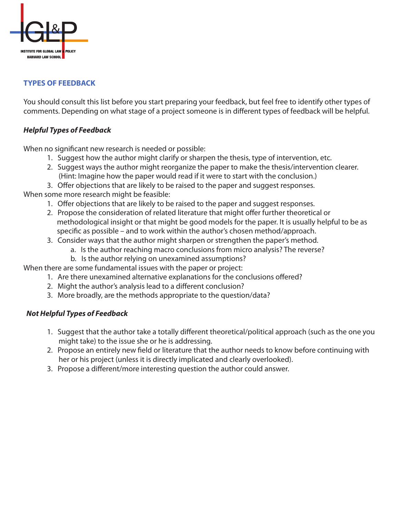

# **TYPES OF FEEDBACK**

You should consult this list before you start preparing your feedback, but feel free to identify other types of comments. Depending on what stage of a project someone is in different types of feedback will be helpful.

## *Helpful Types of Feedback*

When no significant new research is needed or possible:

- 1. Suggest how the author might clarify or sharpen the thesis, type of intervention, etc.
- 2. Suggest ways the author might reorganize the paper to make the thesis/intervention clearer. (Hint: Imagine how the paper would read if it were to start with the conclusion.)
- 3. Offer objections that are likely to be raised to the paper and suggest responses.

When some more research might be feasible:

- 1. Offer objections that are likely to be raised to the paper and suggest responses.
- 2. Propose the consideration of related literature that might offer further theoretical or methodological insight or that might be good models for the paper. It is usually helpful to be as specific as possible – and to work within the author's chosen method/approach.
- 3. Consider ways that the author might sharpen or strengthen the paper's method.
	- a. Is the author reaching macro conclusions from micro analysis? The reverse?
	- b. Is the author relying on unexamined assumptions?

When there are some fundamental issues with the paper or project:

- 1. Are there unexamined alternative explanations for the conclusions offered?
	- 2. Might the author's analysis lead to a different conclusion?
	- 3. More broadly, are the methods appropriate to the question/data?

#### *Not Helpful Types of Feedback*

- 1. Suggest that the author take a totally different theoretical/political approach (such as the one you might take) to the issue she or he is addressing.
- 2. Propose an entirely new field or literature that the author needs to know before continuing with her or his project (unless it is directly implicated and clearly overlooked).
- 3. Propose a different/more interesting question the author could answer.